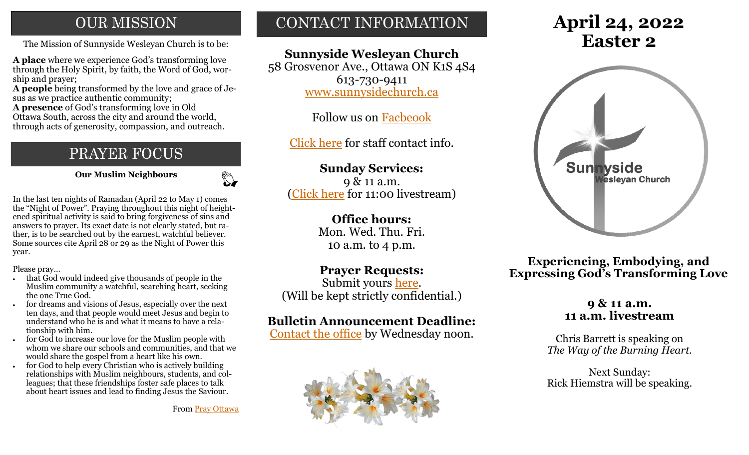## **OUR MISSION**

The Mission of Sunnyside Wesleyan Church is to be: **Easter 2** 

**A place** where we experience God's transforming love through the Holy Spirit, by faith, the Word of God, worship and prayer;

**A people** being transformed by the love and grace of Jesus as we practice authentic community;

**A presence** of God's transforming love in Old Ottawa South, across the city and around the world, through acts of generosity, compassion, and outreach.

## PRAYER FOCUS

 **Our Muslim Neighbours**

 $\mathbb{C}$ 

In the last ten nights of Ramadan (April 22 to May 1) comes the "Night of Power". Praying throughout this night of heightened spiritual activity is said to bring forgiveness of sins and answers to prayer. Its exact date is not clearly stated, but rather, is to be searched out by the earnest, watchful believer. Some sources cite April 28 or 29 as the Night of Power this year.

Please pray...

- that God would indeed give thousands of people in the Muslim community a watchful, searching heart, seeking the one True God.
- for dreams and visions of Jesus, especially over the next ten days, and that people would meet Jesus and begin to understand who he is and what it means to have a relationship with him.
- for God to increase our love for the Muslim people with whom we share our schools and communities, and that we would share the gospel from a heart like his own.
- for God to help every Christian who is actively building relationships with Muslim neighbours, students, and colleagues; that these friendships foster safe places to talk about heart issues and lead to finding Jesus the Saviour.

From [Pray Ottawa](https://onewayministries.ca/pray-ottawa)

## CONTACT INFORMATION

## **Sunnyside Wesleyan Church**

58 Grosvenor Ave., Ottawa ON K1S 4S4 613-730-9411 [www.sunnysidechurch.ca](http://www.sunnysidechurch.ca)

Follow us on [Facbeook](http://www.facebook.com/sunnysidewesleyanchurch)

[Click here](http://www.sunnysidechurch.ca/about-sunnyside/staff/) for staff contact info.

## **Sunday Services:**

9 & 11 a.m. [\(Click here](https://youtube.com/channel/UCYfl9Qy37Az7fqqFQpDEwjg) for 11:00 livestream)

#### **Office hours:**

Mon. Wed. Thu. Fri. 10 a.m. to 4 p.m.

#### **Prayer Requests:**

Submit yours [here.](mailto:prayer@sunnysidechurch.ca) (Will be kept strictly confidential.)

### **Bulletin Announcement Deadline:**

[Contact the office](mailto:office@sunnysidechurch.ca) by Wednesday noon.



# **April 24, 2022**



**Experiencing, Embodying, and Expressing God's Transforming Love**

#### **9 & 11 a.m. 11 a.m. livestream**

Chris Barrett is speaking on *The Way of the Burning Heart.*

Next Sunday: Rick Hiemstra will be speaking.